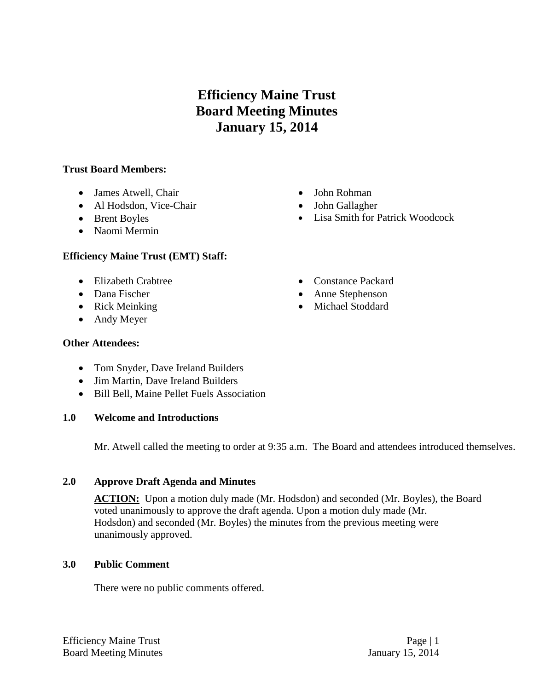# **Efficiency Maine Trust Board Meeting Minutes January 15, 2014**

## **Trust Board Members:**

- James Atwell, Chair
- Al Hodsdon, Vice-Chair
- Brent Boyles
- Naomi Mermin

## **Efficiency Maine Trust (EMT) Staff:**

- Elizabeth Crabtree
- Dana Fischer
- Rick Meinking
- Andy Meyer

#### **Other Attendees:**

- Tom Snyder, Dave Ireland Builders
- Jim Martin, Dave Ireland Builders
- Bill Bell, Maine Pellet Fuels Association

## **1.0 Welcome and Introductions**

Mr. Atwell called the meeting to order at 9:35 a.m. The Board and attendees introduced themselves.

## **2.0 Approve Draft Agenda and Minutes**

**ACTION:** Upon a motion duly made (Mr. Hodsdon) and seconded (Mr. Boyles), the Board voted unanimously to approve the draft agenda. Upon a motion duly made (Mr. Hodsdon) and seconded (Mr. Boyles) the minutes from the previous meeting were unanimously approved.

## **3.0 Public Comment**

There were no public comments offered.

- John Rohman
- John Gallagher
- Lisa Smith for Patrick Woodcock
- Constance Packard
- Anne Stephenson
- Michael Stoddard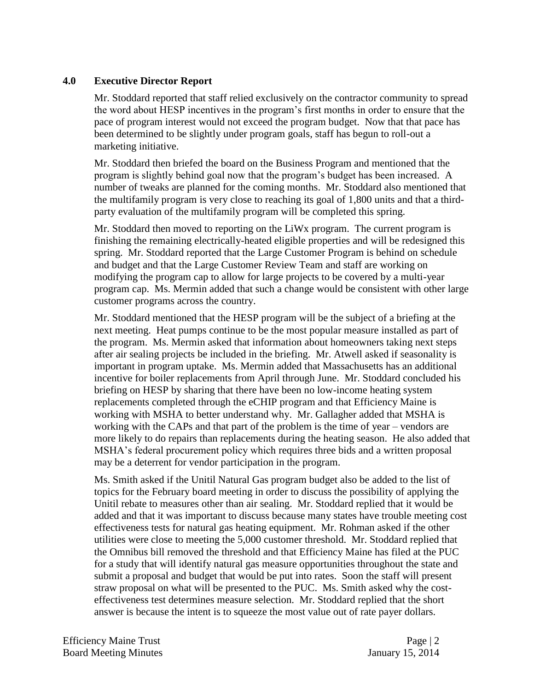# **4.0 Executive Director Report**

Mr. Stoddard reported that staff relied exclusively on the contractor community to spread the word about HESP incentives in the program's first months in order to ensure that the pace of program interest would not exceed the program budget. Now that that pace has been determined to be slightly under program goals, staff has begun to roll-out a marketing initiative.

Mr. Stoddard then briefed the board on the Business Program and mentioned that the program is slightly behind goal now that the program's budget has been increased. A number of tweaks are planned for the coming months. Mr. Stoddard also mentioned that the multifamily program is very close to reaching its goal of 1,800 units and that a thirdparty evaluation of the multifamily program will be completed this spring.

Mr. Stoddard then moved to reporting on the LiWx program. The current program is finishing the remaining electrically-heated eligible properties and will be redesigned this spring. Mr. Stoddard reported that the Large Customer Program is behind on schedule and budget and that the Large Customer Review Team and staff are working on modifying the program cap to allow for large projects to be covered by a multi-year program cap. Ms. Mermin added that such a change would be consistent with other large customer programs across the country.

Mr. Stoddard mentioned that the HESP program will be the subject of a briefing at the next meeting. Heat pumps continue to be the most popular measure installed as part of the program. Ms. Mermin asked that information about homeowners taking next steps after air sealing projects be included in the briefing. Mr. Atwell asked if seasonality is important in program uptake. Ms. Mermin added that Massachusetts has an additional incentive for boiler replacements from April through June. Mr. Stoddard concluded his briefing on HESP by sharing that there have been no low-income heating system replacements completed through the eCHIP program and that Efficiency Maine is working with MSHA to better understand why. Mr. Gallagher added that MSHA is working with the CAPs and that part of the problem is the time of year – vendors are more likely to do repairs than replacements during the heating season. He also added that MSHA's federal procurement policy which requires three bids and a written proposal may be a deterrent for vendor participation in the program.

Ms. Smith asked if the Unitil Natural Gas program budget also be added to the list of topics for the February board meeting in order to discuss the possibility of applying the Unitil rebate to measures other than air sealing. Mr. Stoddard replied that it would be added and that it was important to discuss because many states have trouble meeting cost effectiveness tests for natural gas heating equipment. Mr. Rohman asked if the other utilities were close to meeting the 5,000 customer threshold. Mr. Stoddard replied that the Omnibus bill removed the threshold and that Efficiency Maine has filed at the PUC for a study that will identify natural gas measure opportunities throughout the state and submit a proposal and budget that would be put into rates. Soon the staff will present straw proposal on what will be presented to the PUC. Ms. Smith asked why the costeffectiveness test determines measure selection. Mr. Stoddard replied that the short answer is because the intent is to squeeze the most value out of rate payer dollars.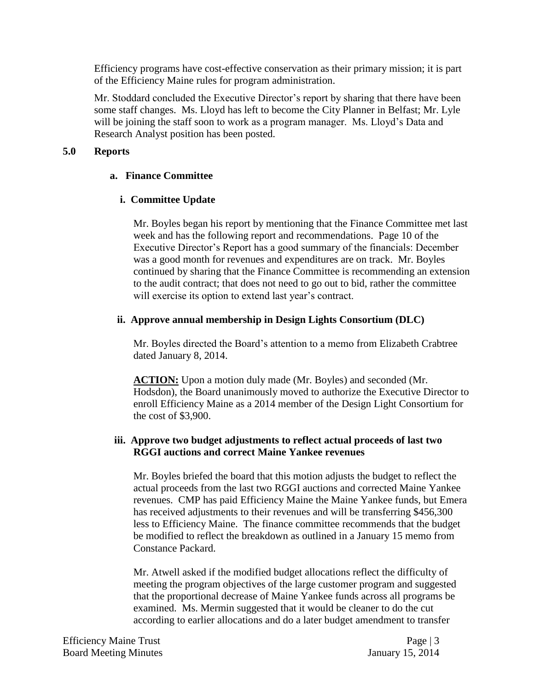Efficiency programs have cost-effective conservation as their primary mission; it is part of the Efficiency Maine rules for program administration.

Mr. Stoddard concluded the Executive Director's report by sharing that there have been some staff changes. Ms. Lloyd has left to become the City Planner in Belfast; Mr. Lyle will be joining the staff soon to work as a program manager. Ms. Lloyd's Data and Research Analyst position has been posted.

# **5.0 Reports**

# **a. Finance Committee**

# **i. Committee Update**

Mr. Boyles began his report by mentioning that the Finance Committee met last week and has the following report and recommendations. Page 10 of the Executive Director's Report has a good summary of the financials: December was a good month for revenues and expenditures are on track. Mr. Boyles continued by sharing that the Finance Committee is recommending an extension to the audit contract; that does not need to go out to bid, rather the committee will exercise its option to extend last year's contract.

# **ii. Approve annual membership in Design Lights Consortium (DLC)**

Mr. Boyles directed the Board's attention to a memo from Elizabeth Crabtree dated January 8, 2014.

**ACTION:** Upon a motion duly made (Mr. Boyles) and seconded (Mr. Hodsdon), the Board unanimously moved to authorize the Executive Director to enroll Efficiency Maine as a 2014 member of the Design Light Consortium for the cost of \$3,900.

# **iii. Approve two budget adjustments to reflect actual proceeds of last two RGGI auctions and correct Maine Yankee revenues**

Mr. Boyles briefed the board that this motion adjusts the budget to reflect the actual proceeds from the last two RGGI auctions and corrected Maine Yankee revenues. CMP has paid Efficiency Maine the Maine Yankee funds, but Emera has received adjustments to their revenues and will be transferring \$456,300 less to Efficiency Maine. The finance committee recommends that the budget be modified to reflect the breakdown as outlined in a January 15 memo from Constance Packard.

Mr. Atwell asked if the modified budget allocations reflect the difficulty of meeting the program objectives of the large customer program and suggested that the proportional decrease of Maine Yankee funds across all programs be examined. Ms. Mermin suggested that it would be cleaner to do the cut according to earlier allocations and do a later budget amendment to transfer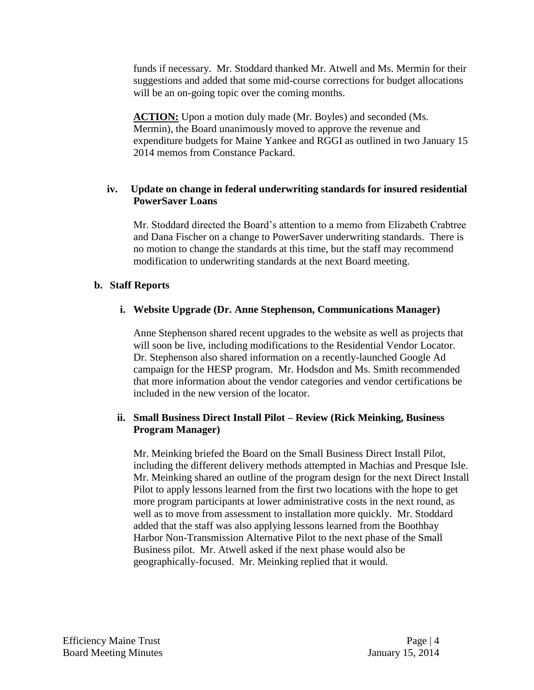funds if necessary. Mr. Stoddard thanked Mr. Atwell and Ms. Mermin for their suggestions and added that some mid-course corrections for budget allocations will be an on-going topic over the coming months.

**ACTION:** Upon a motion duly made (Mr. Boyles) and seconded (Ms. Mermin), the Board unanimously moved to approve the revenue and expenditure budgets for Maine Yankee and RGGI as outlined in two January 15 2014 memos from Constance Packard.

# **iv. Update on change in federal underwriting standards for insured residential PowerSaver Loans**

Mr. Stoddard directed the Board's attention to a memo from Elizabeth Crabtree and Dana Fischer on a change to PowerSaver underwriting standards. There is no motion to change the standards at this time, but the staff may recommend modification to underwriting standards at the next Board meeting.

# **b. Staff Reports**

## **i. Website Upgrade (Dr. Anne Stephenson, Communications Manager)**

Anne Stephenson shared recent upgrades to the website as well as projects that will soon be live, including modifications to the Residential Vendor Locator. Dr. Stephenson also shared information on a recently-launched Google Ad campaign for the HESP program. Mr. Hodsdon and Ms. Smith recommended that more information about the vendor categories and vendor certifications be included in the new version of the locator.

# **ii. Small Business Direct Install Pilot – Review (Rick Meinking, Business Program Manager)**

Mr. Meinking briefed the Board on the Small Business Direct Install Pilot, including the different delivery methods attempted in Machias and Presque Isle. Mr. Meinking shared an outline of the program design for the next Direct Install Pilot to apply lessons learned from the first two locations with the hope to get more program participants at lower administrative costs in the next round, as well as to move from assessment to installation more quickly. Mr. Stoddard added that the staff was also applying lessons learned from the Boothbay Harbor Non-Transmission Alternative Pilot to the next phase of the Small Business pilot. Mr. Atwell asked if the next phase would also be geographically-focused. Mr. Meinking replied that it would.